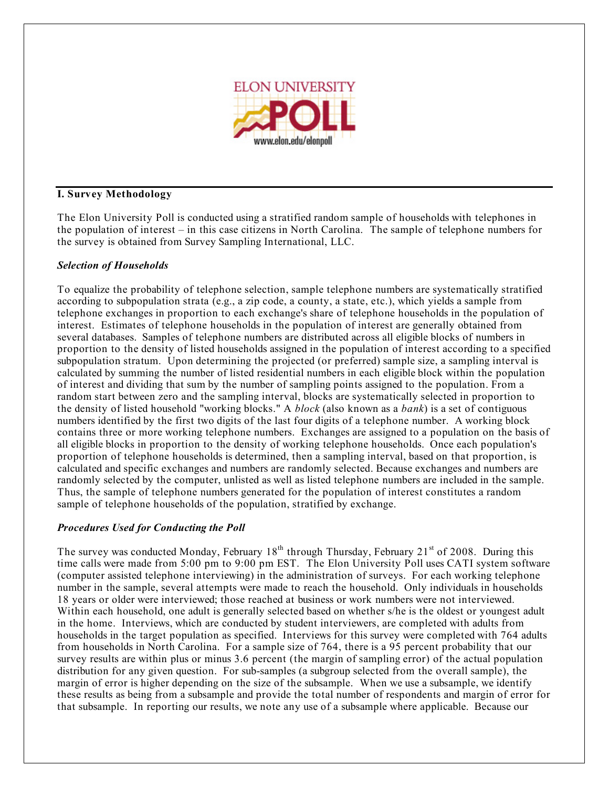

# **I. Survey Methodology**

The Elon University Poll is conducted using a stratified random sample of households with telephones in the population of interest – in this case citizens in North Carolina. The sample of telephone numbers for the survey is obtained from Survey Sampling International, LLC.

### *Selection of Households*

To equalize the probability of telephone selection, sample telephone numbers are systematically stratified according to subpopulation strata (e.g., a zip code, a county, a state, etc.), which yields a sample from telephone exchanges in proportion to each exchange's share of telephone households in the population of interest. Estimates of telephone households in the population of interest are generally obtained from several databases. Samples of telephone numbers are distributed across all eligible blocks of numbers in proportion to the density of listed households assigned in the population of interest according to a specified subpopulation stratum. Upon determining the projected (or preferred) sample size, a sampling interval is calculated by summing the number of listed residential numbers in each eligible block within the population of interest and dividing that sum by the number of sampling points assigned to the population. From a random start between zero and the sampling interval, blocks are systematically selected in proportion to the density of listed household "working blocks." A *block* (also known as a *bank*) is a set of contiguous numbers identified by the first two digits of the last four digits of a telephone number. A working block contains three or more working telephone numbers. Exchanges are assigned to a population on the basis of all eligible blocks in proportion to the density of working telephone households. Once each population's proportion of telephone households is determined, then a sampling interval, based on that proportion, is calculated and specific exchanges and numbers are randomly selected. Because exchanges and numbers are randomly selected by the computer, unlisted as well as listed telephone numbers are included in the sample. Thus, the sample of telephone numbers generated for the population of interest constitutes a random sample of telephone households of the population, stratified by exchange.

# *Procedures Used for Conducting the Poll*

The survey was conducted Monday, February  $18<sup>th</sup>$  through Thursday, February 21<sup>st</sup> of 2008. During this time calls were made from 5:00 pm to 9:00 pm EST. The Elon University Poll uses CATI system software (computer assisted telephone interviewing) in the administration of surveys. For each working telephone number in the sample, several attempts were made to reach the household. Only individuals in households 18 years or older were interviewed; those reached at business or work numbers were not interviewed. Within each household, one adult is generally selected based on whether s/he is the oldest or youngest adult in the home. Interviews, which are conducted by student interviewers, are completed with adults from households in the target population as specified. Interviews for this survey were completed with 764 adults from households in North Carolina. For a sample size of 764, there is a 95 percent probability that our survey results are within plus or minus 3.6 percent (the margin of sampling error) of the actual population distribution for any given question. For sub-samples (a subgroup selected from the overall sample), the margin of error is higher depending on the size of the subsample. When we use a subsample, we identify these results as being from a subsample and provide the total number of respondents and margin of error for that subsample. In reporting our results, we note any use of a subsample where applicable. Because our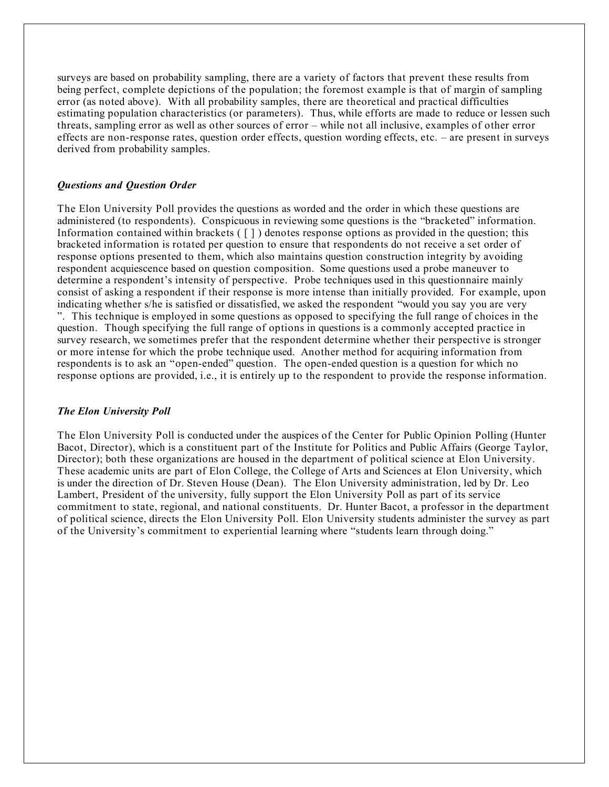surveys are based on probability sampling, there are a variety of factors that prevent these results from being perfect, complete depictions of the population; the foremost example is that of margin of sampling error (as noted above). With all probability samples, there are theoretical and practical difficulties estimating population characteristics (or parameters). Thus, while efforts are made to reduce or lessen such threats, sampling error as well as other sources of error – while not all inclusive, examples of other error effects are non-response rates, question order effects, question wording effects, etc. – are present in surveys derived from probability samples.

### *Questions and Question Order*

The Elon University Poll provides the questions as worded and the order in which these questions are administered (to respondents). Conspicuous in reviewing some questions is the "bracketed" information. Information contained within brackets  $(\lceil \rceil)$  denotes response options as provided in the question; this bracketed information is rotated per question to ensure that respondents do not receive a set order of response options presented to them, which also maintains question construction integrity by avoiding respondent acquiescence based on question composition. Some questions used a probe maneuver to determine a respondent's intensity of perspective. Probe techniques used in this questionnaire mainly consist of asking a respondent if their response is more intense than initially provided. For example, upon indicating whether s/he is satisfied or dissatisfied, we asked the respondent "would you say you are very ". This technique is employed in some questions as opposed to specifying the full range of choices in the question. Though specifying the full range of options in questions is a commonly accepted practice in survey research, we sometimes prefer that the respondent determine whether their perspective is stronger or more intense for which the probe technique used. Another method for acquiring information from respondents is to ask an "open-ended" question. The open-ended question is a question for which no response options are provided, i.e., it is entirely up to the respondent to provide the response information.

#### *The Elon University Poll*

The Elon University Poll is conducted under the auspices of the Center for Public Opinion Polling (Hunter Bacot, Director), which is a constituent part of the Institute for Politics and Public Affairs (George Taylor, Director); both these organizations are housed in the department of political science at Elon University. These academic units are part of Elon College, the College of Arts and Sciences at Elon University, which is under the direction of Dr. Steven House (Dean). The Elon University administration, led by Dr. Leo Lambert, President of the university, fully support the Elon University Poll as part of its service commitment to state, regional, and national constituents. Dr. Hunter Bacot, a professor in the department of political science, directs the Elon University Poll. Elon University students administer the survey as part of the University's commitment to experiential learning where "students learn through doing."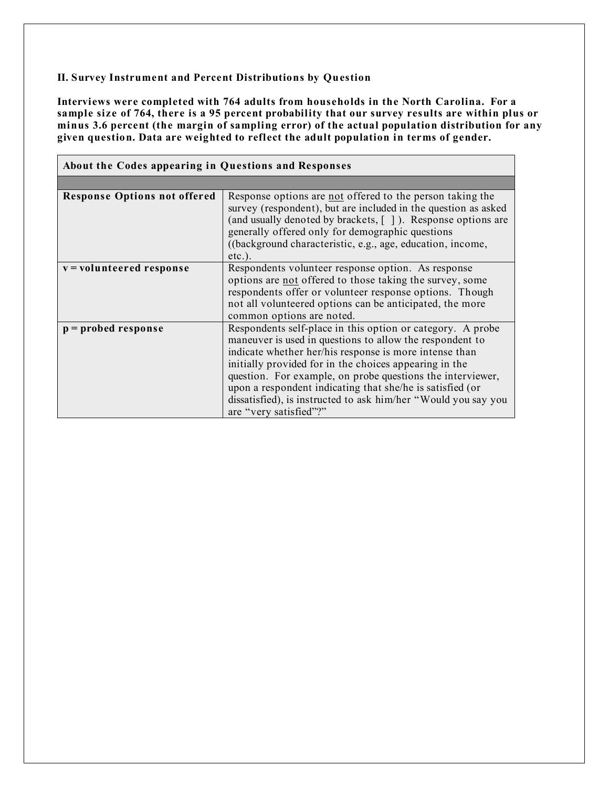# **II. Survey Instrument and Percent Distributions by Question**

**Interviews were completed with 764 adults from households in the North Carolina. For a** sample size of 764, there is a 95 percent probability that our survey results are within plus or **minus 3.6 percent (the margin of sampling error) of the actual population distribution for any given question. Data are weighted to reflect the adult population in terms of gender.**

| About the Codes appearing in Questions and Responses |                                                                                                                                                                                                                                                                                                                                                                                                                                                                   |  |  |  |
|------------------------------------------------------|-------------------------------------------------------------------------------------------------------------------------------------------------------------------------------------------------------------------------------------------------------------------------------------------------------------------------------------------------------------------------------------------------------------------------------------------------------------------|--|--|--|
|                                                      |                                                                                                                                                                                                                                                                                                                                                                                                                                                                   |  |  |  |
| <b>Response Options not offered</b>                  | Response options are not offered to the person taking the<br>survey (respondent), but are included in the question as asked<br>(and usually denoted by brackets, []). Response options are<br>generally offered only for demographic questions<br>((background characteristic, e.g., age, education, income,<br>$etc.$ ).                                                                                                                                         |  |  |  |
| v = volunteered response                             | Respondents volunteer response option. As response<br>options are not offered to those taking the survey, some<br>respondents offer or volunteer response options. Though<br>not all volunteered options can be anticipated, the more<br>common options are noted.                                                                                                                                                                                                |  |  |  |
| $p =$ probed response                                | Respondents self-place in this option or category. A probe<br>maneuver is used in questions to allow the respondent to<br>indicate whether her/his response is more intense than<br>initially provided for in the choices appearing in the<br>question. For example, on probe questions the interviewer,<br>upon a respondent indicating that she/he is satisfied (or<br>dissatisfied), is instructed to ask him/her "Would you say you<br>are "very satisfied"?" |  |  |  |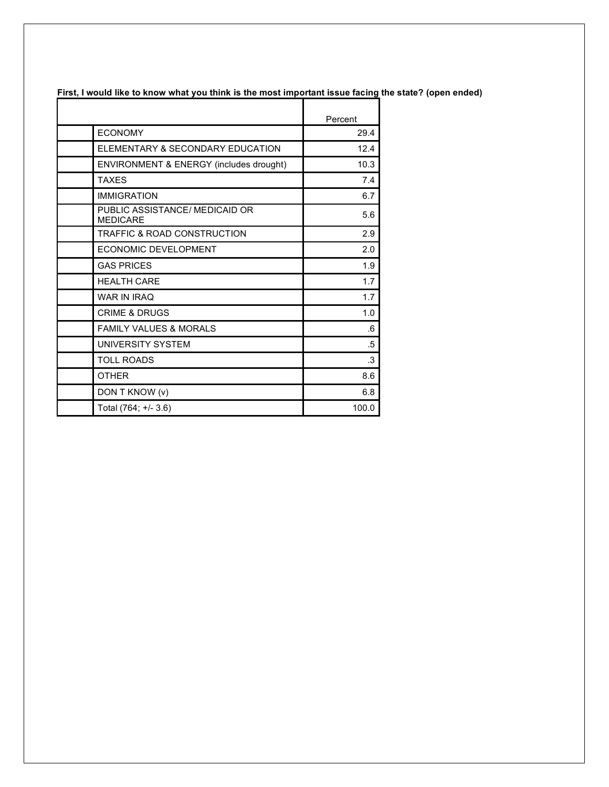|                                                   | Percent   |
|---------------------------------------------------|-----------|
| <b>ECONOMY</b>                                    | 29.4      |
| ELEMENTARY & SECONDARY EDUCATION                  | 12.4      |
| ENVIRONMENT & ENERGY (includes drought)           | 10.3      |
| <b>TAXES</b>                                      | 7.4       |
| <b>IMMIGRATION</b>                                | 6.7       |
| PUBLIC ASSISTANCE/ MEDICAID OR<br><b>MEDICARE</b> | 5.6       |
| <b>TRAFFIC &amp; ROAD CONSTRUCTION</b>            | 2.9       |
| ECONOMIC DEVELOPMENT                              | 2.0       |
| <b>GAS PRICES</b>                                 | 1.9       |
| <b>HEALTH CARE</b>                                | 1.7       |
| <b>WAR IN IRAQ</b>                                | 1.7       |
| <b>CRIME &amp; DRUGS</b>                          | 1.0       |
| <b>FAMILY VALUES &amp; MORALS</b>                 | $6 \cdot$ |
| UNIVERSITY SYSTEM                                 | .5        |
| <b>TOLL ROADS</b>                                 | .3        |
| <b>OTHER</b>                                      | 8.6       |
| DON T KNOW (v)                                    | 6.8       |
| Total (764; +/- 3.6)                              | 100.0     |

First, I would like to know what you think is the most important issue facing the state? (open ended)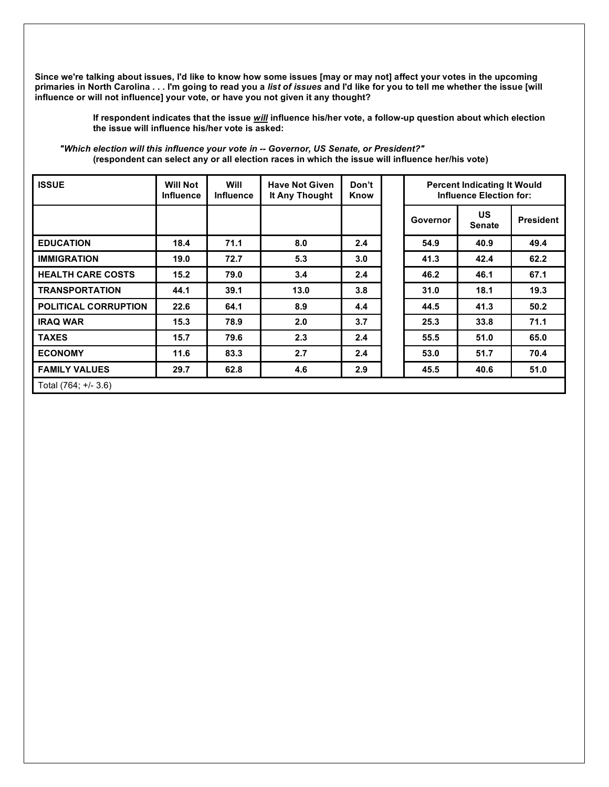Since we're talking about issues, I'd like to know how some issues [may or may not] affect your votes in the upcoming primaries in North Carolina . . . I'm going to read you a list of issues and I'd like for you to tell me whether the issue [will **influence or will not influence] your vote, or have you not given it any thought?**

> **If respondent indicates that the issue** *will* **influence his/her vote, a follow-up question about which election the issue will influence his/her vote is asked:**

| <b>ISSUE</b>                | <b>Will Not</b><br><b>Influence</b> | Will<br><b>Influence</b> | <b>Have Not Given</b><br>It Any Thought | Don't<br>Know | <b>Percent Indicating It Would</b><br><b>Influence Election for:</b> |                            |                  |
|-----------------------------|-------------------------------------|--------------------------|-----------------------------------------|---------------|----------------------------------------------------------------------|----------------------------|------------------|
|                             |                                     |                          |                                         |               | Governor                                                             | <b>US</b><br><b>Senate</b> | <b>President</b> |
| <b>EDUCATION</b>            | 18.4                                | 71.1                     | 8.0                                     | 2.4           | 54.9                                                                 | 40.9                       | 49.4             |
| <b>IMMIGRATION</b>          | 19.0                                | 72.7                     | 5.3                                     | 3.0           | 41.3                                                                 | 42.4                       | 62.2             |
| <b>HEALTH CARE COSTS</b>    | 15.2                                | 79.0                     | 3.4                                     | 2.4           | 46.2                                                                 | 46.1                       | 67.1             |
| <b>TRANSPORTATION</b>       | 44.1                                | 39.1                     | 13.0                                    | 3.8           | 31.0                                                                 | 18.1                       | 19.3             |
| <b>POLITICAL CORRUPTION</b> | 22.6                                | 64.1                     | 8.9                                     | 4.4           | 44.5                                                                 | 41.3                       | 50.2             |
| <b>IRAQ WAR</b>             | 15.3                                | 78.9                     | 2.0                                     | 3.7           | 25.3                                                                 | 33.8                       | 71.1             |
| <b>TAXES</b>                | 15.7                                | 79.6                     | 2.3                                     | 2.4           | 55.5                                                                 | 51.0                       | 65.0             |
| <b>ECONOMY</b>              | 11.6                                | 83.3                     | 2.7                                     | 2.4           | 53.0                                                                 | 51.7                       | 70.4             |
| <b>FAMILY VALUES</b>        | 29.7                                | 62.8                     | 4.6                                     | 2.9           | 45.5                                                                 | 40.6                       | 51.0             |
| Total (764; +/- 3.6)        |                                     |                          |                                         |               |                                                                      |                            |                  |

*"Which election will this influence your vote in -- Governor, US Senate, or President?"* **(respondent can select any or all election races in which the issue will influence her/his vote)**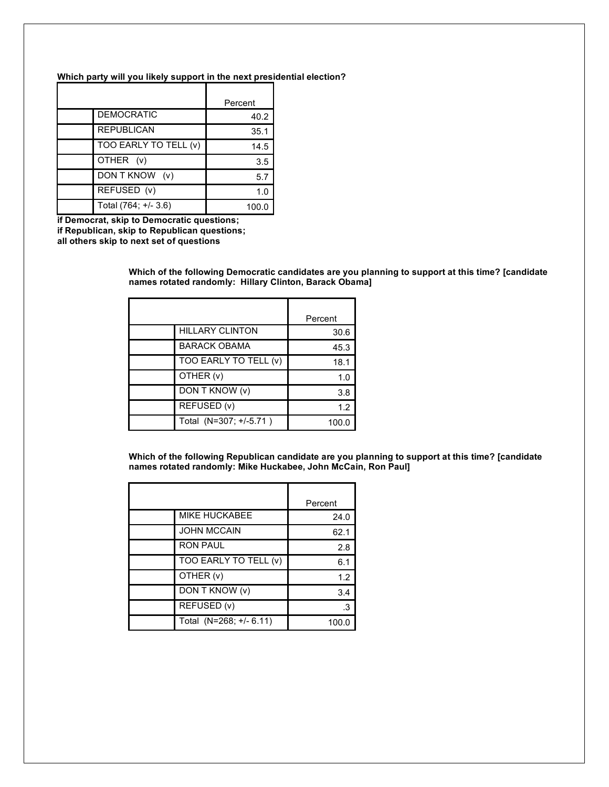#### **Which party will you likely support in the next presidential election?**

|                       | Percent |
|-----------------------|---------|
| <b>DEMOCRATIC</b>     | 40.2    |
| <b>REPUBLICAN</b>     | 35.1    |
| TOO EARLY TO TELL (v) | 14.5    |
| OTHER (v)             | 3.5     |
| DON T KNOW (v)        | 5.7     |
| REFUSED (v)           | 1.0     |
| Total (764; +/- 3.6)  | 100.0   |

**if Democrat, skip to Democratic questions; if Republican, skip to Republican questions; all others skip to next set of questions**

> **Which of the following Democratic candidates are you planning to support at this time? [candidate names rotated randomly: Hillary Clinton, Barack Obama]**

|                        | Percent |
|------------------------|---------|
| <b>HILLARY CLINTON</b> | 30.6    |
| <b>BARACK OBAMA</b>    | 45.3    |
| TOO EARLY TO TELL (v)  | 18.1    |
| OTHER (v)              | 1.0     |
| DON T KNOW (v)         | 3.8     |
| REFUSED (v)            | 1.2     |
| Total (N=307; +/-5.71) | 100.0   |

**Which of the following Republican candidate are you planning to support at this time? [candidate names rotated randomly: Mike Huckabee, John McCain, Ron Paul]**

|                         | Percent |
|-------------------------|---------|
| <b>MIKE HUCKABEE</b>    | 24.0    |
| <b>JOHN MCCAIN</b>      | 62.1    |
| <b>RON PAUL</b>         | 2.8     |
| TOO EARLY TO TELL (v)   | 6.1     |
| OTHER (v)               | 1.2     |
| DON T KNOW (v)          | 3.4     |
| REFUSED (v)             | .3      |
| Total (N=268; +/- 6.11) | 100.0   |